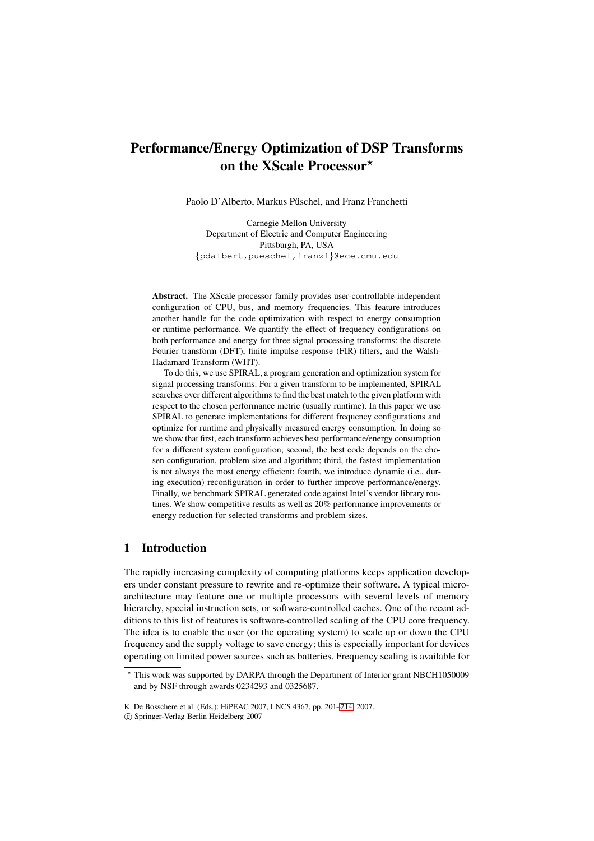# **Performance/Energy Optimization of DSP Transforms on the XScale Processor***-*

Paolo D'Alberto, Markus Püschel, and Franz Franchetti

Carnegie Mellon University Department of Electric and Computer Engineering Pittsburgh, PA, USA {pdalbert,pueschel,franzf}@ece.cmu.edu

**Abstract.** The XScale processor family provides user-controllable independent configuration of CPU, bus, and memory frequencies. This feature introduces another handle for the code optimization with respect to energy consumption or runtime performance. We quantify the effect of frequency configurations on both performance and energy for three signal processing transforms: the discrete Fourier transform (DFT), finite impulse response (FIR) filters, and the Walsh-Hadamard Transform (WHT).

To do this, we use SPIRAL, a program generation and optimization system for signal processing transforms. For a given transform to be implemented, SPIRAL searches over different algorithms to find the best match to the given platform with respect to the chosen performance metric (usually runtime). In this paper we use SPIRAL to generate implementations for different frequency configurations and optimize for runtime and physically measured energy consumption. In doing so we show that first, each transform achieves best performance/energy consumption for a different system configuration; second, the best code depends on the chosen configuration, problem size and algorithm; third, the fastest implementation is not always the most energy efficient; fourth, we introduce dynamic (i.e., during execution) reconfiguration in order to further improve performance/energy. Finally, we benchmark SPIRAL generated code against Intel's vendor library routines. We show competitive results as well as 20% performance improvements or energy reduction for selected transforms and problem sizes.

# **1 Introduction**

The rapidly increasing complexity of computing platforms keeps application developers under constant pressure to rewrite and re-optimize their software. A typical microarchitecture may feature one or multiple processors with several levels of memory hierarchy, special instruction sets, or software-controlled caches. One of the recent additions to this list of features is software-controlled scaling of the CPU core frequency. The idea is to enable the user (or the operating system) to scale up or down the CPU frequency and the supply voltage to save energy; this is especially important for devices operating on limited power sources such as batteries. Frequency scaling is available for

<sup>-</sup> This work was supported by DARPA through the Department of Interior grant NBCH1050009 and by NSF through awards 0234293 and 0325687.

K. De Bosschere et al. (Eds.): HiPEAC 2007, LNCS 4367, pp. 201–214, 2007.

<sup>-</sup>c Springer-Verlag Berlin Heidelberg 2007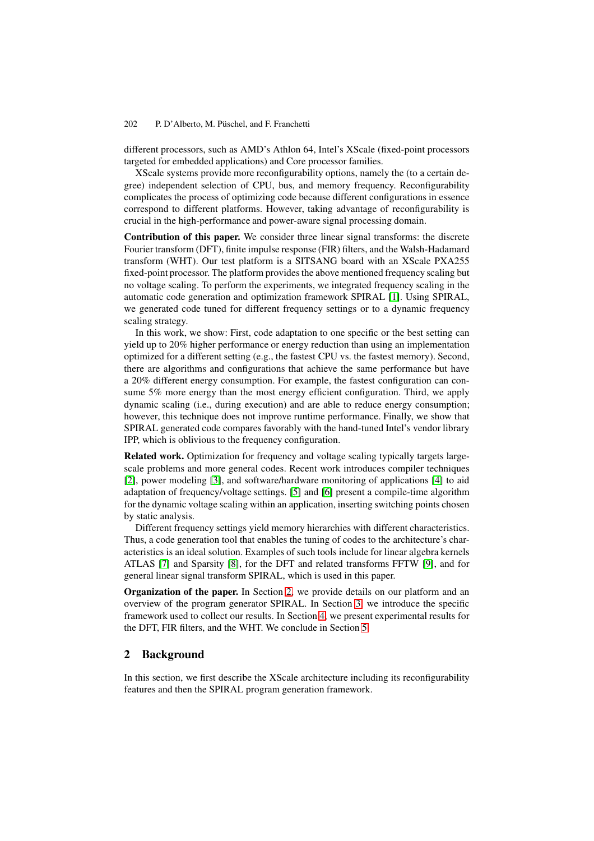different processors, such as AMD's Athlon 64, Intel's XScale (fixed-point processors targeted for embedded applications) and Core processor families.

XScale systems provide more reconfigurability options, namely the (to a certain degree) independent selection of CPU, bus, and memory frequency. Reconfigurability complicates the process of optimizing code because different configurations in essence correspond to different platforms. However, taking advantage of reconfigurability is crucial in the high-performance and power-aware signal processing domain.

**Contribution of this paper.** We consider three linear signal transforms: the discrete Fourier transform (DFT), finite impulse response (FIR) filters, and the Walsh-Hadamard transform (WHT). Our test platform is a SITSANG board with an XScale PXA255 fixed-point processor. The platform provides the above mentioned frequency scaling but no voltage scaling. To perform the experiments, we integrated frequency scaling in the automatic code generation and optimization framework SPIRAL [1]. Using SPIRAL, we generated code tuned for different frequency settings or to a dynamic frequency scaling strategy.

In this work, we show: First, code adaptation to one specific or the best setting can yield up to 20% higher performance or energy reduction than usin[g a](#page-12-0)n implementation optimized for a different setting (e.g., the fastest CPU vs. the fastest memory). Second, there are algorithms and configurations that achieve the same performance but have a 20% different energy consumption. For example, the fastest configuration can consume 5% more energy than the most energy efficient configuration. Third, we apply dynamic scaling (i.e., during execution) and are able to reduce energy consumption; however, this technique does not improve runtime performance. Finally, we show that SPIRAL generated code compares favorably with the hand-tuned Intel's vendor library IPP, which is oblivious to the frequency configuration.

**Related work.** Optimization for frequency and voltage scaling typically targets largescale problems and more general codes. Recent work introduces compiler techniques [2], power modeling [3], and software/hardware monitoring of applications [4] to aid adaptation of frequency/voltage settings. [5] and [6] present a compile-time algorithm for the dynamic voltage scaling within an application, inserting switching points chosen by static analysis.

Different frequenc[y s](#page-12-1)ettings yield memory hierarchies with different chara[cte](#page-12-2)ristics. Thus, a code generation tool that enables t[he](#page-12-3) tuni[ng](#page-12-4) of codes to the architecture's characteristics is an ideal solution. Examples of such tools include for linear algebra kernels ATLAS [7] and Sparsity [8], for the DFT and related transforms FFTW [9], and for general linear signal transform SPIRAL, which is used in this paper.

**Organization of the paper.** In Section 2, we provide details on our platform and an overview of the program generator SPIRAL. In Section 3, we introduce the specific framewo[rk](#page-12-5) used to collect [ou](#page-12-6)r results. In Section 4, we present experiment[al](#page-13-0) [r](#page-13-0)esults for the DFT, FIR filters, and the WHT. We conclude in Section 5.

# **2 Background**

In this section, we first describe the XScale architecture in[clu](#page-12-7)ding its reconfigurability features and then the SPIRAL program generation framework.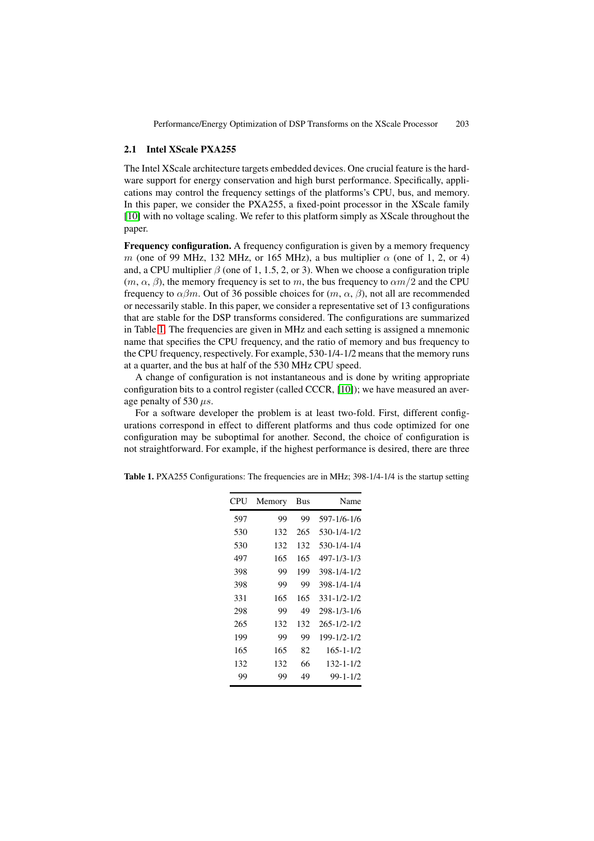## **2.1 Intel XScale PXA255**

The Intel XScale architecture targets embedded devices. One crucial feature is the hardware support for energy conservation and high burst performance. Specifically, applications may control the frequency settings of the platforms's CPU, bus, and memory. In this paper, we consider the PXA255, a fixed-point processor in the XScale family [10] with no voltage scaling. We refer to this platform simply as XScale throughout the paper.

**Frequency configuration.** A frequency configuration is given by a memory frequency m (one of 99 MHz, 132 MHz, or 165 MHz), a bus multiplier  $\alpha$  (one of 1, 2, or 4) [and,](#page-13-1) a CPU multiplier  $\beta$  (one of 1, 1.5, 2, or 3). When we choose a configuration triple  $(m, \alpha, \beta)$ , the memory frequency is set to m, the bus frequency to  $\alpha m/2$  and the CPU frequency to  $\alpha\beta m$ . Out of 36 possible choices for  $(m, \alpha, \beta)$ , not all are recommended or necessarily stable. In this paper, we consider a representative set of 13 configurations that are stable for the DSP transforms considered. The configurations are summarized in Table 1. The frequencies are given in MHz and each setting is assigned a mnemonic name that specifies the CPU frequency, and the ratio of memory and bus frequency to the CPU frequency, respectively. For example, 530-1/4-1/2 means that the memory runs at a quarter, and the bus at half of the 530 MHz CPU speed.

A ch[an](#page-2-0)ge of configuration is not instantaneous and is done by writing appropriate configuration bits to a control register (called CCCR, [10]); we have measured an average penalty of 530  $\mu s$ .

For a software developer the problem is at least two-fold. First, different configurations correspond in effect to different platforms and thus code optimized for one configuration may be suboptimal for another. Secon[d, th](#page-13-1)e choice of configuration is not straightforward. For example, if the highest performance is desired, there are three

| CPU | Memory | Bus | Name              |
|-----|--------|-----|-------------------|
| 597 | 99     | 99  | 597-1/6-1/6       |
| 530 | 132    | 265 | 530-1/4-1/2       |
| 530 | 132    | 132 | 530-1/4-1/4       |
| 497 | 165    | 165 | 497-1/3-1/3       |
| 398 | 99     | 199 | 398-1/4-1/2       |
| 398 | 99     | 99  | 398-1/4-1/4       |
| 331 | 165    | 165 | 331-1/2-1/2       |
| 298 | 99     | 49  | 298-1/3-1/6       |
| 265 | 132    | 132 | $265 - 1/2 - 1/2$ |
| 199 | 99     | 99  | 199-1/2-1/2       |
| 165 | 165    | 82  | $165 - 1 - 1/2$   |
| 132 | 132    | 66  | $132 - 1 - 1/2$   |
| 99  | 99     | 49  | $99 - 1 - 1/2$    |

<span id="page-2-0"></span>**Table 1.** PXA255 Configurations: The frequencies are in MHz; 398-1/4-1/4 is the startup setting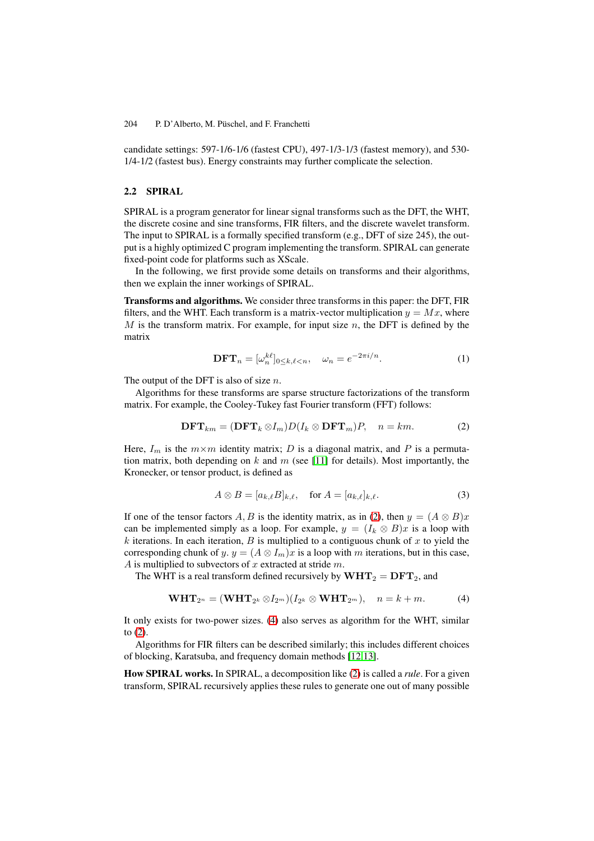candidate settings: 597-1/6-1/6 (fastest CPU), 497-1/3-1/3 (fastest memory), and 530- 1/4-1/2 (fastest bus). Energy constraints may further complicate the selection.

### **2.2 SPIRAL**

SPIRAL is a program generator for linear signal transforms such as the DFT, the WHT, the discrete cosine and sine transforms, FIR filters, and the discrete wavelet transform. The input to SPIRAL is a formally specified transform (e.g., DFT of size 245), the output is a highly optimized C program implementing the transform. SPIRAL can generate fixed-point code for platforms such as XScale.

In the following, we first provide some details on transforms and their algorithms, then we explain the inner workings of SPIRAL.

**Transforms and algorithms.** We consider three transforms in this paper: the DFT, FIR filters, and the WHT. Each transform is a matrix-vector multiplication  $y = Mx$ , where  $M$  is the transform matrix. For example, for input size  $n$ , the DFT is defined by the matrix

$$
\mathbf{DFT}_n = [\omega_n^{k\ell}]_{0 \le k,\ell < n}, \quad \omega_n = e^{-2\pi i/n}.\tag{1}
$$

The output of the DFT is also of size  $n$ .

Algorithms for these transforms are sparse structure factorizations of the transform matrix. For example, the Cooley-Tukey fast Fourier transform (FFT) follows:

$$
\mathbf{DFT}_{km} = (\mathbf{DFT}_k \otimes I_m) D(I_k \otimes \mathbf{DFT}_m) P, \quad n = km. \tag{2}
$$

<span id="page-3-1"></span>Here,  $I_m$  is the  $m \times m$  identity matrix; D is a diagonal matrix, and P is a permutation matrix, both depending on  $k$  and  $m$  (see [11] for details). Most importantly, the Kronecker, or tensor product, is defined as

<span id="page-3-2"></span><span id="page-3-0"></span>
$$
A \otimes B = [a_{k,\ell}B]_{k,\ell}, \quad \text{for } A = [a_{k,\ell}]_{k,\ell}.
$$
 (3)

If one of the tensor factors A, B is the identity [ma](#page-13-2)trix, as in (2), then  $y = (A \otimes B)x$ can be implemented simply as a loop. For example,  $y = (I_k \otimes B)x$  is a loop with k iterations. In each iteration,  $B$  is multiplied to a contiguous chunk of  $x$  to yield the corresponding chunk of y.  $y = (A \otimes I_m)x$  is a loop with m iterations, but in this case, A is multiplied to subvectors of x extracted at stride  $m$ .

The WHT is a real transform defined recursively by  $WHT_2 = DFT_2$ , and

$$
\mathbf{WHT}_{2^n} = (\mathbf{WHT}_{2^k} \otimes I_{2^m})(I_{2^k} \otimes \mathbf{WHT}_{2^m}), \quad n = k + m. \tag{4}
$$

It only exists for two-power sizes. (4) also serves as algorithm for the WHT, similar to (2).

Algorithms for FIR filters can be described similarly; this includes different choices of blocking, Karatsuba, and frequency domain methods [12,13].

**How SPIRAL works.** In SPIRAL, a [de](#page-3-0)composition like (2) is called a *rule*. For a given tra[nsf](#page-3-1)orm, SPIRAL recursively applies these rules to generate one out of many possible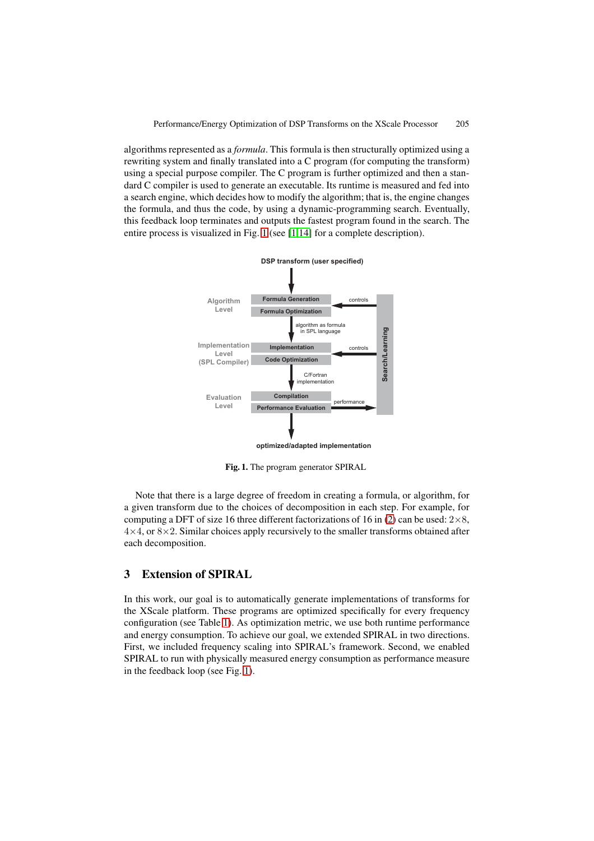algorithms represented as a *formula*. This formula is then structurally optimized using a rewriting system and finally translated into a C program (for computing the transform) using a special purpose compiler. The C program is further optimized and then a standard C compiler is used to generate an executable. Its runtime is measured and fed into a search engine, which decides how to modify the algorithm; that is, the engine changes the formula, and thus the code, by using a dynamic-programming search. Eventually, this feedback loop terminates and outputs the fastest program found in the search. The entire process is visualized in Fig. 1 (see [1,14] for a complete description).



<span id="page-4-0"></span>**Fig. 1.** The program generator SPIRAL

Note that there is a large degree of freedom in creating a formula, or algorithm, for a given transform due to the choices of decomposition in each step. For example, for computing a DFT of size 16 three different factorizations of 16 in (2) can be used:  $2\times8$ ,  $4\times4$ , or  $8\times2$ . Similar choices apply recursively to the smaller transforms obtained after each decomposition.

# **3 Extension of SPIRAL**

In this work, our goal is to automatically generate implementations of transforms for the XScale platform. These programs are optimized specifically for every frequency configuration (see Table 1). As optimization metric, we use both runtime performance and energy consumption. To achieve our goal, we extended SPIRAL in two directions. First, we included frequency scaling into SPIRAL's framework. Second, we enabled SPIRAL to run with physically measured energy consumption as performance measure in the feedback loop (se[e F](#page-2-0)ig. 1).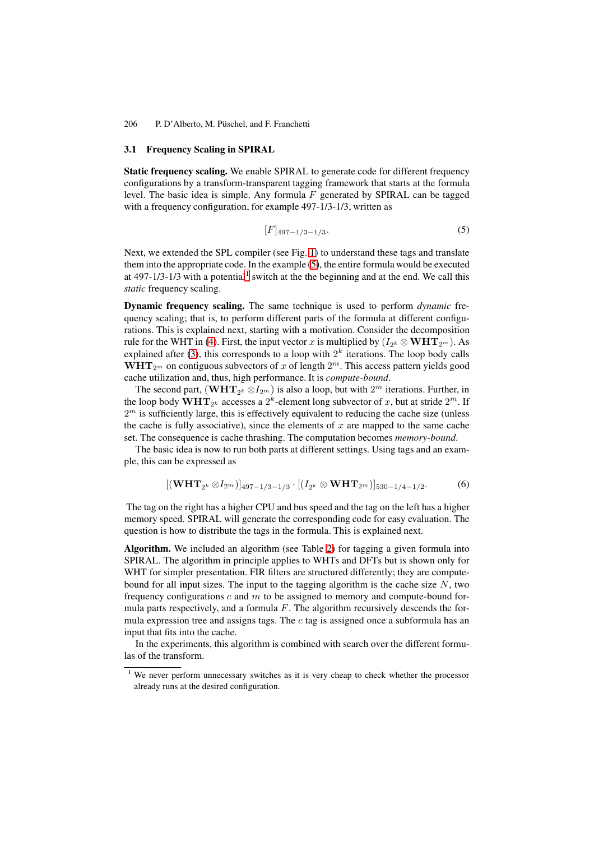#### **3.1 Frequency Scaling in SPIRAL**

<span id="page-5-2"></span>**Static frequency scaling.** We enable SPIRAL to generate code for different frequency configurations by a transform-transparent tagging framework that starts at the formula level. The basic idea is simple. Any formula  $F$  generated by SPIRAL can be tagged with a frequency configuration, for example 497-1/3-1/3, written as

<span id="page-5-0"></span>
$$
[F]_{497-1/3-1/3}.\tag{5}
$$

Next, we extended the SPL compiler (see Fig. 1) to understand these tags and translate them into the appropriate code. In the example (5), the entire formula would be executed at 497-1/3-1/3 with a potential switch at the the beginning and at the end. We call this *static* frequency scaling.

**Dynamic frequency scaling.** The same tec[hni](#page-4-0)que is used to perform *dynamic* frequency scaling; that is, to perform different p[art](#page-5-0)s of the formula at different configurations. This is explained next[,](#page-5-1) [s](#page-5-1)tarting with a motivation. Consider the decomposition rule for the WHT in (4). First, the input vector x is multiplied by  $(I_{2^k} \otimes \textbf{WHT}_{2^m})$ . As explained after (3), this corresponds to a loop with  $2<sup>k</sup>$  iterations. The loop body calls  $\text{WHT}_{2^m}$  on contiguous subvectors of x of length  $2^m$ . This access pattern yields good cache utilization and, thus, high performance. It is *compute-bound*.

The second part,  $(\mathbf{WHT}_{2^k} \otimes I_{2^m})$  $(\mathbf{WHT}_{2^k} \otimes I_{2^m})$  $(\mathbf{WHT}_{2^k} \otimes I_{2^m})$  is also a loop, but with  $2^m$  iterations. Further, in the loop body  $\textbf{WHT}_{2^k}$  $\textbf{WHT}_{2^k}$  $\textbf{WHT}_{2^k}$  accesses a  $2^k$ -element long subvector of x, but at stride  $2^m$ . If  $2<sup>m</sup>$  is sufficiently large, this is effectively equivalent to reducing the cache size (unless the cache is fully associative), since the elements of  $x$  are mapped to the same cache set. The consequence is cache thrashing. The computation becomes *memory-bound*.

The basic idea is now to run both parts at different settings. Using tags and an example, this can be expressed as

$$
[(\mathbf{WHT}_{2^k} \otimes I_{2^m})]_{497-1/3-1/3} \cdot [(I_{2^k} \otimes \mathbf{WHT}_{2^m})]_{530-1/4-1/2}. \tag{6}
$$

The tag on the right has a higher CPU and bus speed and the tag on the left has a higher memory speed. SPIRAL will generate the corresponding code for easy evaluation. The question is how to distribute the tags in the formula. This is explained next.

**Algorithm.** We included an algorithm (see Table 2) for tagging a given formula into SPIRAL. The algorithm in principle applies to WHTs and DFTs but is shown only for WHT for simpler presentation. FIR filters are structured differently; they are computebound for all input sizes. The input to the tagging algorithm is the cache size  $N$ , two frequency configurations  $c$  and  $m$  [to](#page-6-0) be assigned to memory and compute-bound formula parts respectively, and a formula  $F$ . The algorithm recursively descends the formula expression tree and assigns tags. The  $c$  tag is assigned once a subformula has an input that fits into the cache.

In the experiments, this algorithm is combined with search over the different formulas of the transform.

<span id="page-5-1"></span><sup>&</sup>lt;sup>1</sup> We never perform unnecessary switches as it is very cheap to check whether the processor already runs at the desired configuration.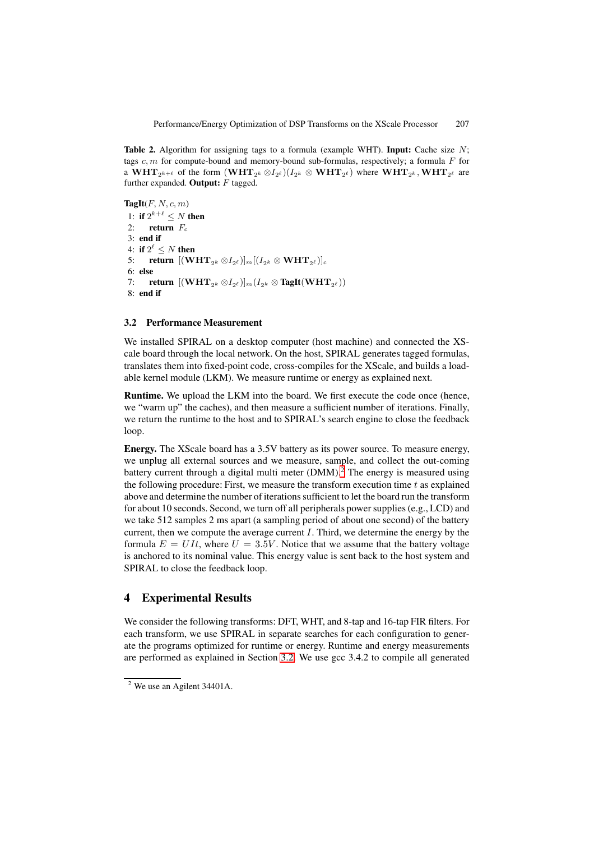**Table 2.** Algorithm for assigning tags to a formula (example WHT). **Input:** Cache size N; tags  $c, m$  for compute-bound and memory-bound sub-formulas, respectively; a formula  $F$  for a  $\mathbf{WHT}_{2^{k+\ell}}$  of the form  $(\mathbf{WHT}_{2^k} \otimes I_{2^\ell})(I_{2^k} \otimes \mathbf{WHT}_{2^\ell})$  where  $\mathbf{WHT}_{2^k}, \mathbf{WHT}_{2^\ell}$  are further expanded. **Output:** F tagged.

```

 1: if 2^{k+\ell} \leq N then
2: return F_c3: end if
4: if 2^{\ell} \leq N then
 5: return [(\mathbf{WHT}_{2^k} \otimes I_{2^\ell})]_m [(I_{2^k} \otimes \mathbf{WHT}_{2^\ell})]_c6: else
 7: return [(\mathbf{WHT}_{2^k} \otimes I_{2^\ell})]_m (I_{2^k} \otimes \mathbf{TagIt}(\mathbf{WHT}_{2^\ell}))8: end if
```
## **3.2 Performance Measurement**

We installed SPIRAL on a desktop computer (host machine) and connected the XScale board through the local network. On the host, SPIRAL generates tagged formulas, translates them into fixed-point code, cross-compiles for the XScale, and builds a loadable kernel module (LKM). We measure runtime or energy as explained next.

**Runtime.** We upload the LKM into the board. We first execute the code once (hence, we "warm up" the caches), and then measure a sufficient number of iterations. Finally, we return the runtime to the host and to SPIRAL's search engine to close the feedback loop.

**Energy.** The XScale board has a 3.5V battery as its power source. To measure energy, we unplug all external sources and we measure, sample, and collect the out-coming battery current through a digital multi meter  $(DMM)$ .<sup>2</sup> The energy is measured using the following procedure: First, we measure the transform execution time  $t$  as explained above and determine the number of iterations sufficient to let the board run the transform for about 10 seconds. Second, we turn off all peripherals power supplies (e.g., LCD) and we take 512 samples 2 ms apart (a sampling period of [a](#page-6-1)bout one second) of the battery current, then we compute the average current  $I$ . Third, we determine the energy by the formula  $E = UIt$ , where  $U = 3.5V$ . Notice that we assume that the battery voltage is anchored to its nominal value. This energy value is sent back to the host system and SPIRAL to close the feedback loop.

# **4 Experimental Results**

We consider the following transforms: DFT, WHT, and 8-tap and 16-tap FIR filters. For each transform, we use SPIRAL in separate searches for each configuration to generate the programs optimized for runtime or energy. Runtime and energy measurements are performed as explained in Section 3.2. We use gcc 3.4.2 to compile all generated

<span id="page-6-1"></span><sup>2</sup> We use an Agilent 34401A.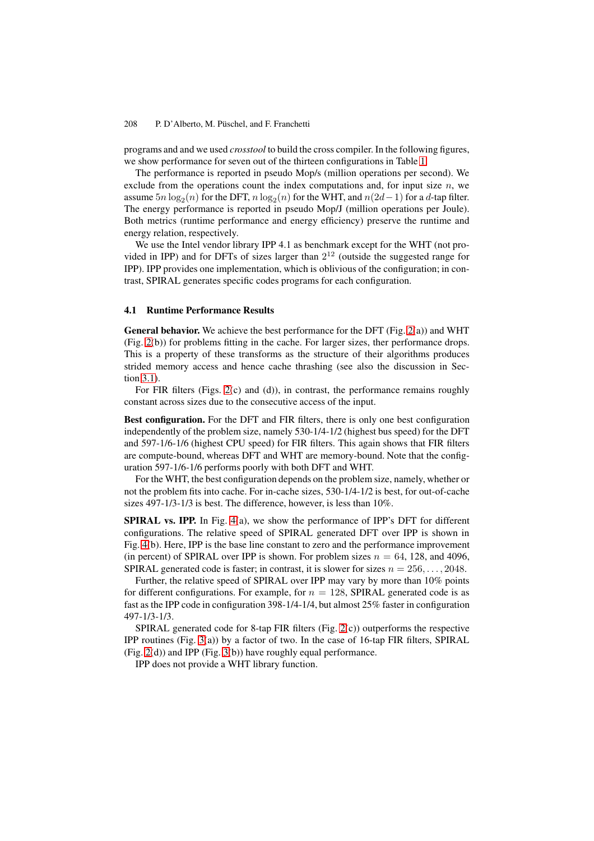programs and and we used *crosstool* to build the cross compiler. In the following figures, we show performance for seven out of the thirteen configurations in Table 1.

The performance is reported in pseudo Mop/s (million operations per second). We exclude from the operations count the index computations and, for input size  $n$ , we assume  $5n \log_2(n)$  for the DFT,  $n \log_2(n)$  for the WHT, and  $n(2d-1)$  for a d-tap filter. The energy performance is reported in pseudo Mop/J (million operatio[ns](#page-2-0) per Joule). Both metrics (runtime performance and energy efficiency) preserve the runtime and energy relation, respectively.

We use the Intel vendor library IPP 4.1 as benchmark except for the WHT (not provided in IPP) and for DFTs of sizes larger than  $2^{12}$  (outside the suggested range for IPP). IPP provides one implementation, which is oblivious of the configuration; in contrast, SPIRAL generates specific codes programs for each configuration.

#### **4.1 Runtime Performance Results**

<span id="page-7-0"></span>**General behavior.** We achieve the best performance for the DFT (Fig. 2(a)) and WHT (Fig. 2(b)) for problems fitting in the cache. For larger sizes, ther performance drops. This is a property of these transforms as the structure of their algorithms produces strided memory access and hence cache thrashing (see also the discussion in Section 3.1).

Fo[r](#page-8-0) FIR filters (Figs. 2(c) and (d)), in contrast, the performance remains roughly constant across sizes due to the consecutive access of the input.

**Best configuration.** For the DFT and FIR filters, there is only one best configuration ind[epen](#page-5-2)dently of the problem size, namely 530-1/4-1/2 (highest bus speed) for the DFT and 597-1/6-1/6 (highest [C](#page-8-0)PU speed) for FIR filters. This again shows that FIR filters are compute-bound, whereas DFT and WHT are memory-bound. Note that the configuration 597-1/6-1/6 performs poorly with both DFT and WHT.

For the WHT, the best configuration depends on the problem size, namely, whether or not the problem fits into cache. For in-cache sizes, 530-1/4-1/2 is best, for out-of-cache sizes 497-1/3-1/3 is best. The difference, however, is less than 10%.

**SPIRAL vs. IPP.** In Fig. 4(a), we show the performance of IPP's DFT for different configurations. The relative speed of SPIRAL generated DFT over IPP is shown in Fig. 4(b). Here, IPP is the base line constant to zero and the performance improvement (in percent) of SPIRAL over IPP is shown. For problem sizes  $n = 64$ , 128, and 4096, SPIRAL generated code i[s fa](#page-9-0)ster; in contrast, it is slower for sizes  $n = 256, \ldots, 2048$ .

Further, the relative speed of SPIRAL over IPP may vary by more than 10% points for [dif](#page-9-0)ferent configurations. For example, for  $n = 128$ , SPIRAL generated code is as fast as the IPP code in configuration 398-1/4-1/4, but almost 25% faster in configuration 497-1/3-1/3.

SPIRAL generated code for 8-tap FIR filters (Fig. 2(c)) outperforms the respective IPP routines (Fig. 3(a)) by a factor of two. In the case of 16-tap FIR filters, SPIRAL (Fig. 2(d)) and IPP (Fig. 3(b)) have roughly equal performance.

IPP does not provide a WHT library function.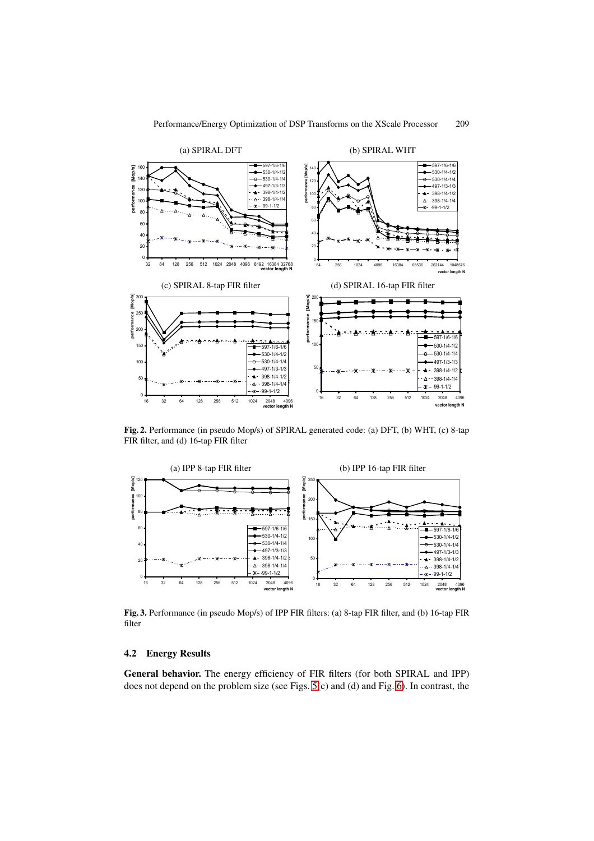

<span id="page-8-0"></span>**Fig. 2.** Performance (in pseudo Mop/s) of SPIRAL generated code: (a) DFT, (b) WHT, (c) 8-tap FIR filter, and (d) 16-tap FIR filter



**Fig. 3.** Performance (in pseudo Mop/s) of IPP FIR filters: (a) 8-tap FIR filter, and (b) 16-tap FIR filter

## **4.2 Energy Results**

**General behavior.** The energy efficiency of FIR filters (for both SPIRAL and IPP) does not depend on the problem size (see Figs. 5(c) and (d) and Fig. 6). In contrast, the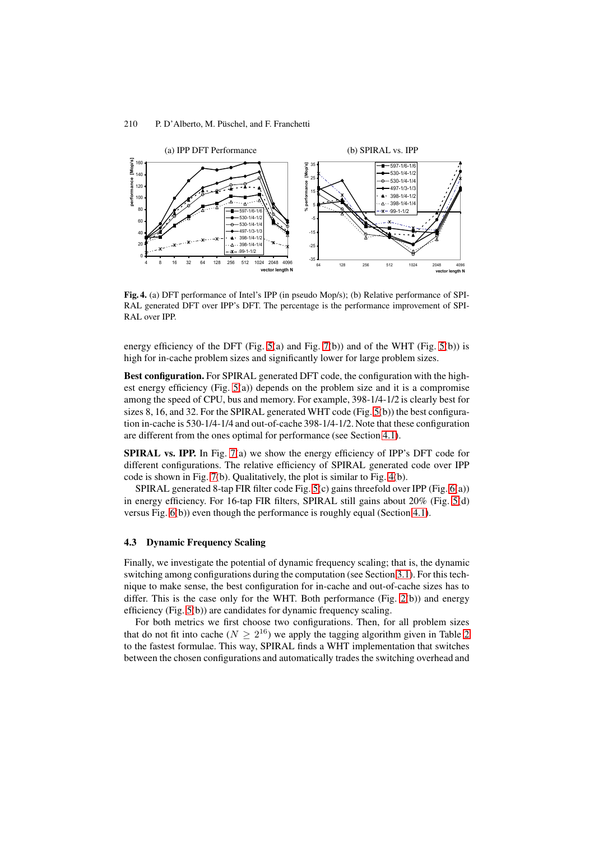

<span id="page-9-0"></span>**Fig. 4.** (a) DFT performance of Intel's IPP (in pseudo Mop/s); (b) Relative performance of SPI-RAL generated DFT over IPP's DFT. The percentage is the performance improvement of SPI-RAL over IPP.

energy efficiency of the DFT (Fig. 5(a) and Fig. 7(b)) and of the WHT (Fig. 5(b)) is high for in-cache problem sizes and significantly lower for large problem sizes.

**Best configuration.** For SPIRAL generated DFT code, the configuration with the highest energy efficiency (Fig. 5(a)) depends on the problem size and it is a compromise among the speed of CPU, bus and [mem](#page-10-0)ory. For e[xam](#page-11-0)ple, 398-1/4-1/2 is clearly [be](#page-10-0)st for sizes 8, 16, and 32. For the SPIRAL generated WHT code (Fig. 5(b)) the best configuration in-cache is 530-1/4-1/4 and out-of-cache 398-1/4-1/2. Note that these configuration are different from the ones [op](#page-10-0)timal for performance (see Section 4.1).

**SPIRAL vs. IPP.** In Fig. 7(a) we show the energy efficiency of IPP's DFT code for different configurations. The relative efficiency of SPIRAL [gen](#page-10-0)erated code over IPP code is shown in Fig. 7(b). Qualitatively, the plot is similar to Fig. 4(b).

SPIRAL generated 8-tap FIR filter code Fig. 5(c) gains threef[old](#page-7-0) [o](#page-7-0)ver IPP (Fig. 6(a)) in energy efficiency. For [16](#page-11-0)-tap FIR filters, SPIRAL still gains about 20% (Fig. 5(d) versus Fig. 6(b)) even though the performance is roughly equal (Section 4.1).

## **4.3 Dynamic Frequency Scaling**

Finally, we [in](#page-10-1)vestigate the potential of dynamic frequency scaling; that i[s, th](#page-7-0)e dynamic switching among configurations during the computation (see Section 3.1). For this technique to make sense, the best configuration for in-cache and out-of-cache sizes has to differ. This is the case only for the WHT. Both performance (Fig. 2(b)) and energy efficiency (Fig. 5(b)) are candidates for dynamic frequency scaling.

For both metrics we first choose two configurations. Then, for [all](#page-5-2) problem sizes that do not fit into cache ( $N \ge 2^{16}$ ) we apply the tagging algorithm given in Table 2 to the fastest formulae. This way, SPIRAL finds a WHT implement[atio](#page-8-0)n that switches between the ch[ose](#page-10-0)n configurations and automatically trades the switching overhead and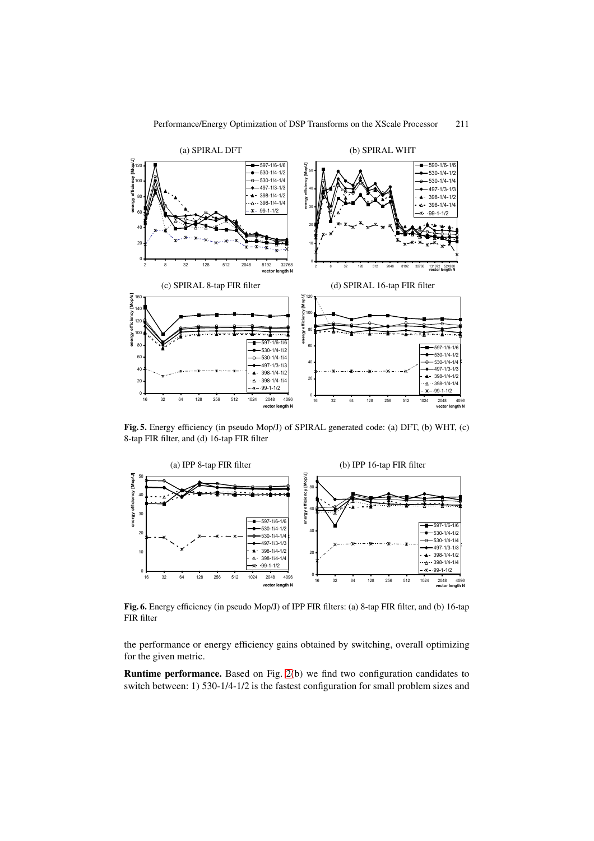

**Fig. 5.** Energy efficiency (in pseudo Mop/J) of SPIRAL generated code: (a) DFT, (b) WHT, (c) 8-tap FIR filter, and (d) 16-tap FIR filter

16 32 64 128 256 512 1024 2048 4096

vector length N<br>vector length N

<span id="page-10-0"></span>vector length N

16 32 64 128 256 512 1024 2048 4096



**Fig. 6.** Energy efficiency (in pseudo Mop/J) of IPP FIR filters: (a) 8-tap FIR filter, and (b) 16-tap FIR filter

<span id="page-10-1"></span>the performance or energy efficiency gains obtained by switching, overall optimizing for the given metric.

**Runtime performance.** Based on Fig. 2(b) we find two configuration candidates to switch between: 1) 530-1/4-1/2 is the fastest configuration for small problem sizes and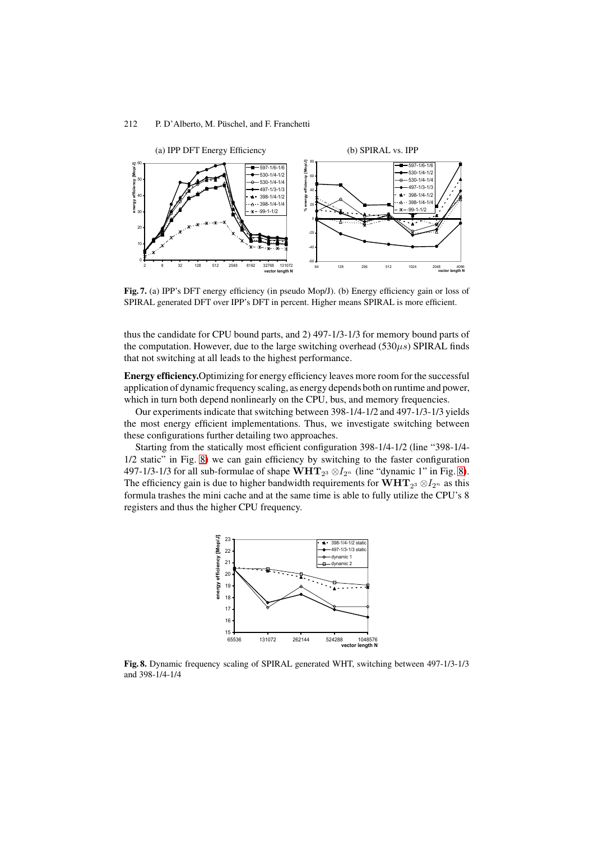

Fig. 7. (a) IPP's DFT energy efficiency (in pseudo Mop/J). (b) Energy efficiency gain or loss of SPIRAL generated DFT over IPP's DFT in percent. Higher means SPIRAL is more efficient.

<span id="page-11-0"></span>thus the candidate for CPU bound parts, and 2) 497-1/3-1/3 for memory bound parts of the computation. However, due to the large switching overhead (530 $\mu$ s) SPIRAL finds that not switching at all leads to the highest performance.

**Energy efficiency.**Optimizing for energy efficiency leaves more room for the successful application of dynamic frequency scaling, as energy depends both on runtime and power, which in turn both depend nonlinearly on the CPU, bus, and memory frequencies.

Our experiments indicate that switching between 398-1/4-1/2 and 497-1/3-1/3 yields the most energy efficient implementations. Thus, we investigate switching between these configurations further detailing two approaches.

Starting from the statically most efficient configuration 398-1/4-1/2 (line "398-1/4- 1/2 static" in Fig. 8) we can gain efficiency by switching to the faster configuration 497-1/3-1/3 for all sub-formulae of shape  $WHT_{2^3} \otimes I_{2^n}$  (line "dynamic 1" in Fig. 8). The efficiency gain is due to higher bandwidth requirements for  $WHT_{2^3} \otimes I_{2^n}$  as this formula trashes the mini cache and at the same time is able to fully utilize the CPU's 8 registers and thus t[he](#page-11-1) higher CPU frequency.



<span id="page-11-1"></span>**Fig. 8.** Dynamic frequency scaling of SPIRAL generated WHT, switching between 497-1/3-1/3 and 398-1/4-1/4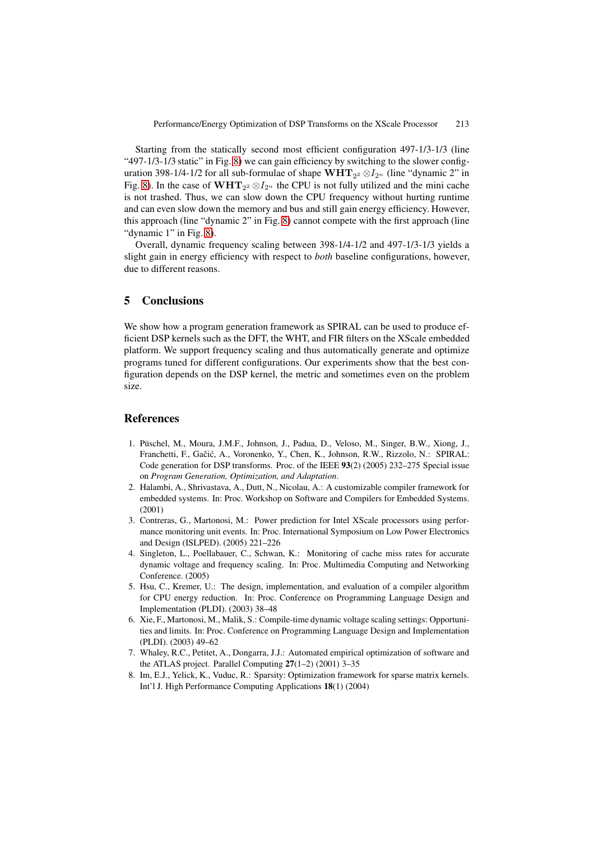Starting from the statically second most efficient configuration 497-1/3-1/3 (line "497-1/3-1/3 static" in Fig. 8) we can gain efficiency by switching to the slower configuration 398-1/4-1/2 for all sub-formulae of shape  $WHT_{2^2} \otimes I_{2^n}$  (line "dynamic 2" in Fig. 8). In the case of  $WHT_{2^2} \otimes I_{2^n}$  the CPU is not fully utilized and the mini cache is not trashed. Thus, we can slow down the CPU frequency without hurting runtime and can even slow down th[e m](#page-11-1)emory and bus and still gain energy efficiency. However, this approach (line "dynamic 2" in Fig. 8) cannot compete with the first approach (line "dy[nam](#page-11-1)ic 1" in Fig. 8).

Overall, dynamic frequency scaling between 398-1/4-1/2 and 497-1/3-1/3 yields a slight gain in energy efficiency with respect to *both* baseline configurations, however, due to different reasons.

## **5 Conclusions**

<span id="page-12-7"></span>We show how a program generation framework as SPIRAL can be used to produce efficient DSP kernels such as the DFT, the WHT, and FIR filters on the XScale embedded platform. We support frequency scaling and thus automatically generate and optimize programs tuned for different configurations. Our experiments show that the best configuration depends on the DSP kernel, the metric and sometimes even on the problem size.

# **References**

- 1. Püschel, M., Moura, J.M.F., Johnson, J., Padua, D., Veloso, M., Singer, B.W., Xiong, J., Franchetti, F., Gačić, A., Voronenko, Y., Chen, K., Johnson, R.W., Rizzolo, N.: SPIRAL: Code generation for DSP transforms. Proc. of the IEEE **93**(2) (2005) 232–275 Special issue on *Program Generation, Optimization, and Adaptation*.
- <span id="page-12-0"></span>2. Halambi, A., Shrivastava, A., Dutt, N., Nicolau, A.: A customizable compiler framework for embedded systems. In: Proc. Workshop on Software and Compilers for Embedded Systems. (2001)
- 3. Contreras, G., Martonosi, M.: Power prediction for Intel XScale processors using performance monitoring unit events. In: Proc. International Symposium on Low Power Electronics and Design (ISLPED). (2005) 221–226
- <span id="page-12-1"></span>4. Singleton, L., Poellabauer, C., Schwan, K.: Monitoring of cache miss rates for accurate dynamic voltage and frequency scaling. In: Proc. Multimedia Computing and Networking Conference. (2005)
- <span id="page-12-2"></span>5. Hsu, C., Kremer, U.: The design, implementation, and evaluation of a compiler algorithm for CPU energy reduction. In: Proc. Conference on Programming Language Design and Implementation (PLDI). (2003) 38–48
- <span id="page-12-3"></span>6. Xie, F., Martonosi, M., Malik, S.: Compile-time dynamic voltage scaling settings: Opportunities and limits. In: Proc. Conference on Programming Language Design and Implementation (PLDI). (2003) 49–62
- <span id="page-12-4"></span>7. Whaley, R.C., Petitet, A., Dongarra, J.J.: Automated empirical optimization of software and the ATLAS project. Parallel Computing **27**(1–2) (2001) 3–35
- <span id="page-12-6"></span><span id="page-12-5"></span>8. Im, E.J., Yelick, K., Vuduc, R.: Sparsity: Optimization framework for sparse matrix kernels. Int'l J. High Performance Computing Applications **18**(1) (2004)